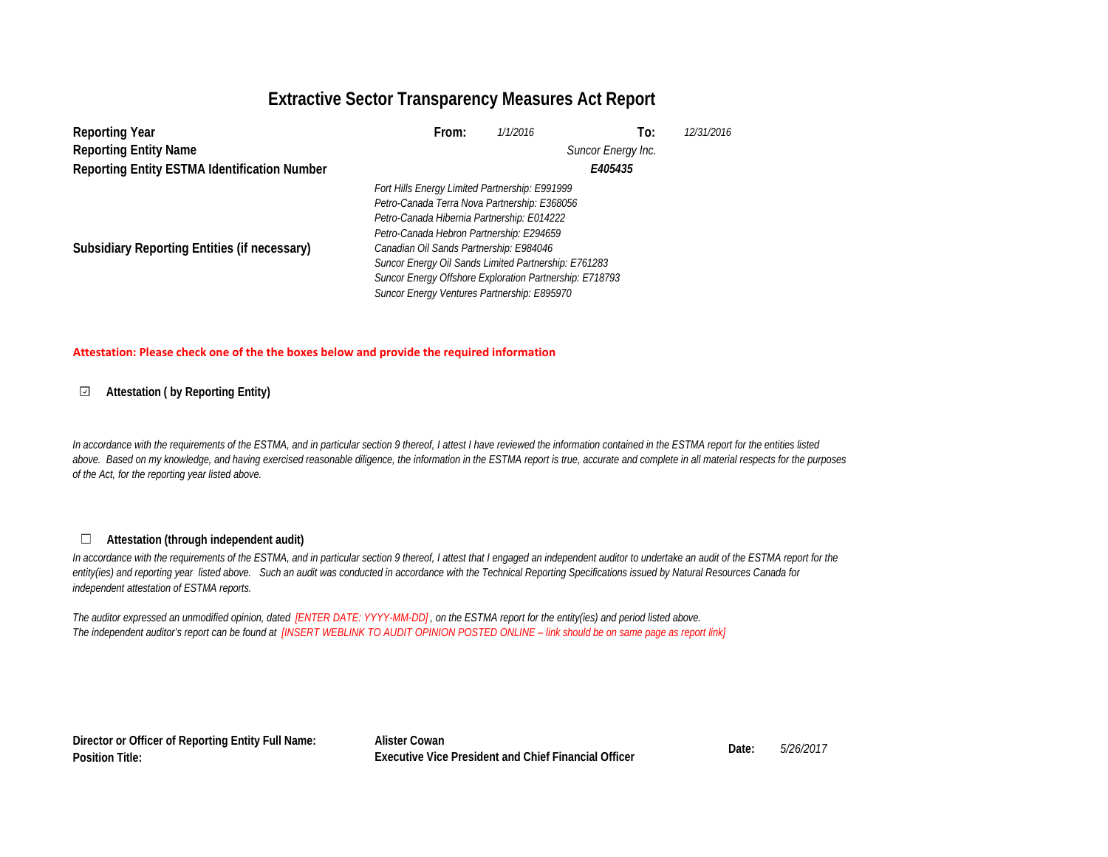## **Extractive Sector Transparency Measures Act Report**

| <b>Reporting Year</b>                               | From:                                                   | 1/1/2016 | To:                | 12/31/2016 |  |  |
|-----------------------------------------------------|---------------------------------------------------------|----------|--------------------|------------|--|--|
| <b>Reporting Entity Name</b>                        |                                                         |          | Suncor Energy Inc. |            |  |  |
| <b>Reporting Entity ESTMA Identification Number</b> |                                                         |          | E405435            |            |  |  |
|                                                     | Fort Hills Energy Limited Partnership: E991999          |          |                    |            |  |  |
|                                                     | Petro-Canada Terra Nova Partnership: E368056            |          |                    |            |  |  |
|                                                     | Petro-Canada Hibernia Partnership: E014222              |          |                    |            |  |  |
|                                                     | Petro-Canada Hebron Partnership: E294659                |          |                    |            |  |  |
| Subsidiary Reporting Entities (if necessary)        | Canadian Oil Sands Partnership: E984046                 |          |                    |            |  |  |
|                                                     | Suncor Energy Oil Sands Limited Partnership: E761283    |          |                    |            |  |  |
|                                                     | Suncor Energy Offshore Exploration Partnership: E718793 |          |                    |            |  |  |
|                                                     | Suncor Energy Ventures Partnership: E895970             |          |                    |            |  |  |

### **Attestation: Please check one of the the boxes below and provide the required information**

#### **Attestation ( by Reporting Entity)**  $\overline{\phantom{a}}$

*In accordance with the requirements of the ESTMA, and in particular section 9 thereof, I attest I have reviewed the information contained in the ESTMA report for the entities listed above. Based on my knowledge, and having exercised reasonable diligence, the information in the ESTMA report is true, accurate and complete in all material respects for the purposes of the Act, for the reporting year listed above.* 

#### **Attestation (through independent audit)** $\Box$

In accordance with the requirements of the ESTMA, and in particular section 9 thereof, I attest that I engaged an independent auditor to undertake an audit of the ESTMA report for the *entity(ies) and reporting year listed above. Such an audit was conducted in accordance with the Technical Reporting Specifications issued by Natural Resources Canada for independent attestation of ESTMA reports.* 

*The auditor expressed an unmodified opinion, dated [ENTER DATE: YYYY-MM-DD] , on the ESTMA report for the entity(ies) and period listed above. The independent auditor's report can be found at [INSERT WEBLINK TO AUDIT OPINION POSTED ONLINE – link should be on same page as report link]* 

**Director or Officer of Reporting Entity Full Name: Position Title:**

**Alister Cowan Date:** *5/26/2017* **Executive Vice President and Chief Financial Officer**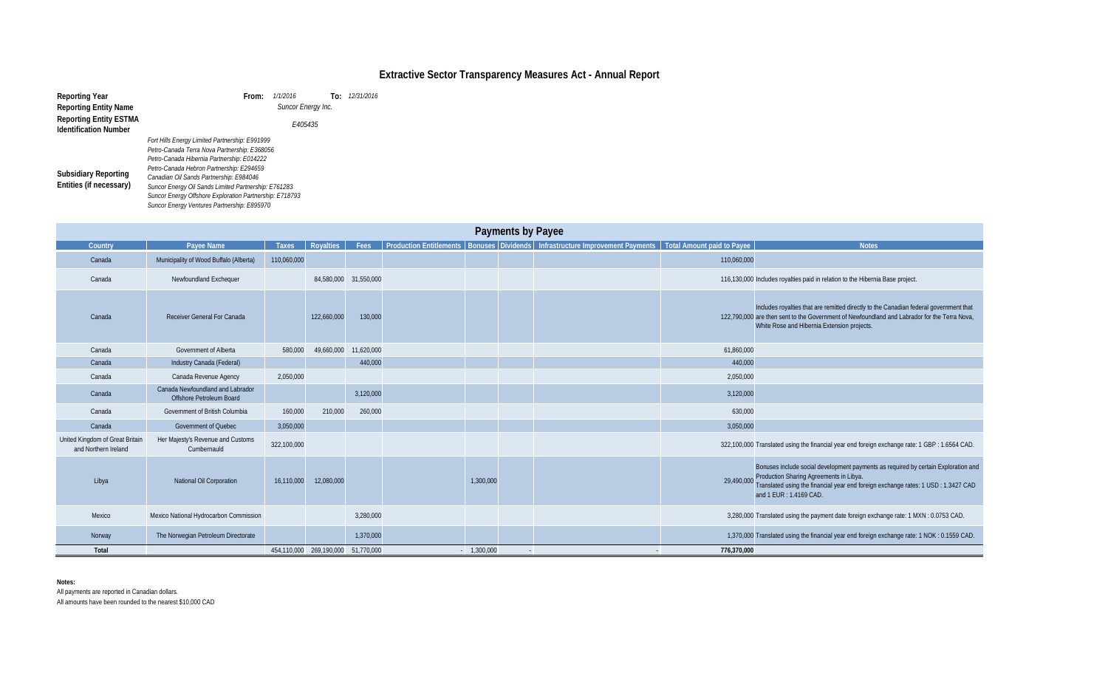| nts | <b>Total Amount paid to Payee</b> | <b>Notes</b>                                                                                                                                                                                                                                  |
|-----|-----------------------------------|-----------------------------------------------------------------------------------------------------------------------------------------------------------------------------------------------------------------------------------------------|
|     | 110,060,000                       |                                                                                                                                                                                                                                               |
|     |                                   | 116,130,000 Includes royalties paid in relation to the Hibernia Base project.                                                                                                                                                                 |
|     |                                   | Includes royalties that are remitted directly to the Canadian federal government that<br>122,790,000 are then sent to the Government of Newfoundland and Labrador for the Terra Nova,<br>White Rose and Hibernia Extension projects.          |
|     | 61,860,000                        |                                                                                                                                                                                                                                               |
|     | 440,000                           |                                                                                                                                                                                                                                               |
|     | 2,050,000                         |                                                                                                                                                                                                                                               |
|     | 3,120,000                         |                                                                                                                                                                                                                                               |
|     | 630,000                           |                                                                                                                                                                                                                                               |
|     | 3,050,000                         |                                                                                                                                                                                                                                               |
|     |                                   | 322,100,000 Translated using the financial year end foreign exchange rate: 1 GBP : 1.6564 CAD.                                                                                                                                                |
|     | 29,490,000                        | Bonuses include social development payments as required by certain Exploration and<br>Production Sharing Agreements in Libya.<br>Translated using the financial year end foreign exchange rates: 1 USD : 1.3427 CAD<br>and 1 EUR: 1.4169 CAD. |
|     |                                   | 3,280,000 Translated using the payment date foreign exchange rate: 1 MXN : 0.0753 CAD.                                                                                                                                                        |
|     |                                   | 1,370,000 Translated using the financial year end foreign exchange rate: 1 NOK: 0.1559 CAD.                                                                                                                                                   |
|     | 776,370,000                       |                                                                                                                                                                                                                                               |

| <b>Reporting Year</b><br><b>Reporting Entity Name</b><br><b>Reporting Entity ESTMA</b><br><b>Identification Number</b> | From:<br>Fort Hills Energy Limited Partnership: E991999<br>Petro-Canada Terra Nova Partnership: E368056                                                                                                                                                                                             | 1/1/2016<br>Suncor Energy Inc.<br>E405435 |             | To: 12/31/2016 |           |                          |                                                                                                                |             |                                                                                                                                                                                                                                                |
|------------------------------------------------------------------------------------------------------------------------|-----------------------------------------------------------------------------------------------------------------------------------------------------------------------------------------------------------------------------------------------------------------------------------------------------|-------------------------------------------|-------------|----------------|-----------|--------------------------|----------------------------------------------------------------------------------------------------------------|-------------|------------------------------------------------------------------------------------------------------------------------------------------------------------------------------------------------------------------------------------------------|
| <b>Subsidiary Reporting</b><br>Entities (if necessary)                                                                 | Petro-Canada Hibernia Partnership: E014222<br>Petro-Canada Hebron Partnership: E294659<br>Canadian Oil Sands Partnership: E984046<br>Suncor Energy Oil Sands Limited Partnership: E761283<br>Suncor Energy Offshore Exploration Partnership: E718793<br>Suncor Energy Ventures Partnership: E895970 |                                           |             |                |           |                          |                                                                                                                |             |                                                                                                                                                                                                                                                |
|                                                                                                                        |                                                                                                                                                                                                                                                                                                     |                                           |             |                |           | <b>Payments by Payee</b> |                                                                                                                |             |                                                                                                                                                                                                                                                |
| Country                                                                                                                | Payee Name                                                                                                                                                                                                                                                                                          | <b>Taxes</b>                              | Royalties   | Fees           |           |                          | Production Entitlements   Bonuses Dividends   Infrastructure Improvement Payments   Total Amount paid to Payee |             | <b>Notes</b>                                                                                                                                                                                                                                   |
| Canada                                                                                                                 | Municipality of Wood Buffalo (Alberta)                                                                                                                                                                                                                                                              | 110,060,000                               |             |                |           |                          |                                                                                                                | 110,060,000 |                                                                                                                                                                                                                                                |
| Canada                                                                                                                 | Newfoundland Exchequer                                                                                                                                                                                                                                                                              |                                           | 84,580,000  | 31,550,000     |           |                          |                                                                                                                |             | 116,130,000 Includes royalties paid in relation to the Hibernia Base project.                                                                                                                                                                  |
| Canada                                                                                                                 | Receiver General For Canada                                                                                                                                                                                                                                                                         |                                           | 122,660,000 | 130,000        |           |                          |                                                                                                                |             | Includes royalties that are remitted directly to the Canadian federal government that<br>122,790,000 are then sent to the Government of Newfoundland and Labrador for the Terra Nova,<br>White Rose and Hibernia Extension projects.           |
| Canada                                                                                                                 | Government of Alberta                                                                                                                                                                                                                                                                               | 580,000                                   | 49,660,000  | 11,620,000     |           |                          |                                                                                                                | 61,860,000  |                                                                                                                                                                                                                                                |
| Canada                                                                                                                 | Industry Canada (Federal)                                                                                                                                                                                                                                                                           |                                           |             | 440,000        |           |                          |                                                                                                                | 440,000     |                                                                                                                                                                                                                                                |
| Canada                                                                                                                 | Canada Revenue Agency                                                                                                                                                                                                                                                                               | 2,050,000                                 |             |                |           |                          |                                                                                                                | 2,050,000   |                                                                                                                                                                                                                                                |
| Canada                                                                                                                 | Canada Newfoundland and Labrador<br>Offshore Petroleum Board                                                                                                                                                                                                                                        |                                           |             | 3,120,000      |           |                          |                                                                                                                | 3,120,000   |                                                                                                                                                                                                                                                |
| Canada                                                                                                                 | Government of British Columbia                                                                                                                                                                                                                                                                      | 160,000                                   | 210,000     | 260,000        |           |                          |                                                                                                                | 630,000     |                                                                                                                                                                                                                                                |
| Canada                                                                                                                 | Government of Quebec                                                                                                                                                                                                                                                                                | 3,050,000                                 |             |                |           |                          |                                                                                                                | 3,050,000   |                                                                                                                                                                                                                                                |
| United Kingdom of Great Britain<br>and Northern Ireland                                                                | Her Majesty's Revenue and Customs<br>Cumbernauld                                                                                                                                                                                                                                                    | 322,100,000                               |             |                |           |                          |                                                                                                                |             | 322,100,000 Translated using the financial year end foreign exchange rate: 1 GBP : 1.6564 CAD.                                                                                                                                                 |
| Libya                                                                                                                  | <b>National Oil Corporation</b>                                                                                                                                                                                                                                                                     | 16,110,000                                | 12,080,000  |                | 1,300,000 |                          |                                                                                                                | 29,490,000  | Bonuses include social development payments as required by certain Exploration are<br>Production Sharing Agreements in Libya.<br>Translated using the financial year end foreign exchange rates: 1 USD : 1.3427 CAD<br>and 1 EUR : 1.4169 CAD. |
| Mexico                                                                                                                 | Mexico National Hydrocarbon Commission                                                                                                                                                                                                                                                              |                                           |             | 3,280,000      |           |                          |                                                                                                                |             | 3,280,000 Translated using the payment date foreign exchange rate: 1 MXN : 0.0753 CAD.                                                                                                                                                         |
| Norway                                                                                                                 | The Norwegian Petroleum Directorate                                                                                                                                                                                                                                                                 |                                           |             | 1,370,000      |           |                          |                                                                                                                |             | 1,370,000 Translated using the financial year end foreign exchange rate: 1 NOK: 0.1559 CAD.                                                                                                                                                    |

**Total 1,300,000** 1, 1,300,000 1, 1,300,000 1, 1,300,000 1, 1,300,000 1, 1,300,000 1, 1,300,000 1, 1,300,000 1, 1,300,000 1, 1,300,000 1, 1,300,000 1, 1,300,000 1, 1,300,000 1, 1,300,000 1, 1,300,000 1, 1,300,000 1, 1,300,

**Notes:** 

All payments are reported in Canadian dollars.

All amounts have been rounded to the nearest \$10,000 CAD

# **Extractive Sector Transparency Measures Act - Annual Report**